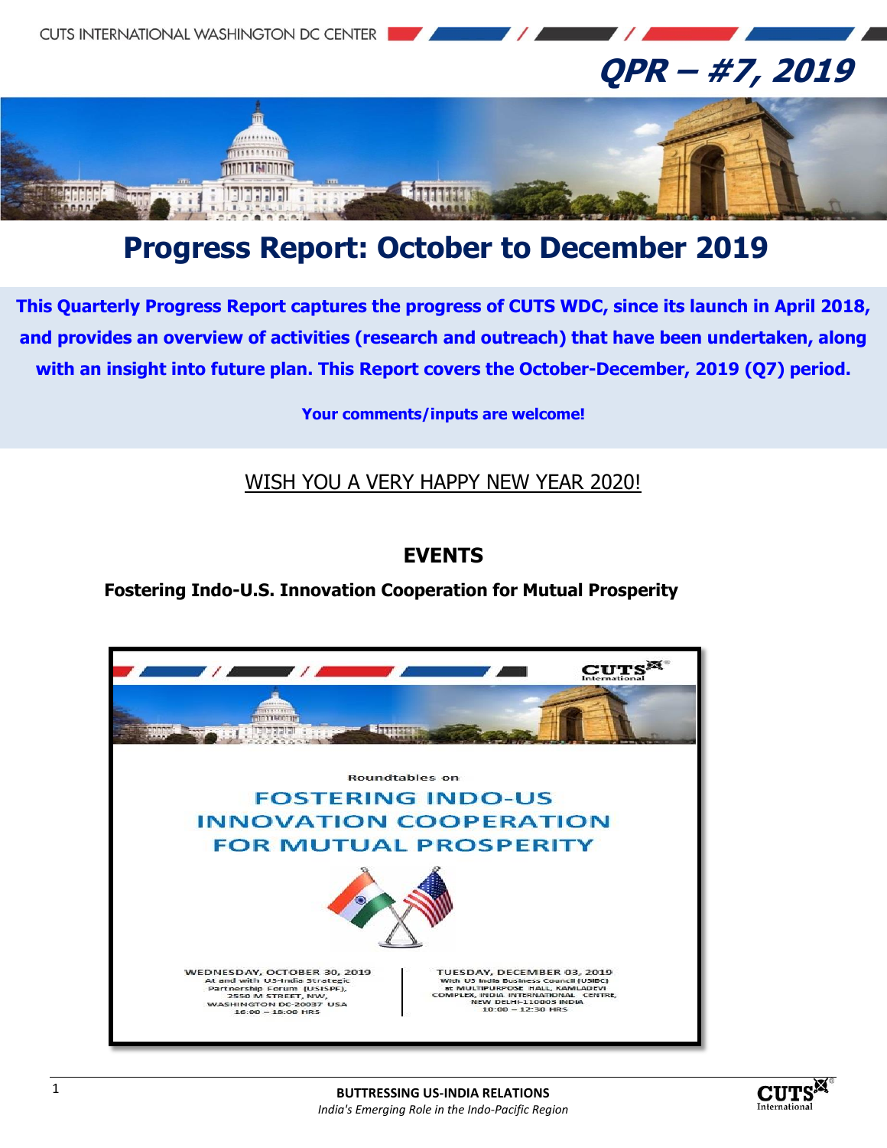

# **Progress Report: October to December 2019**

**This Quarterly Progress Report captures the progress of CUTS WDC, since its launch in April 2018, and provides an overview of activities (research and outreach) that have been undertaken, along with an insight into future plan. This Report covers the October-December, 2019 (Q7) period.**

**Your comments/inputs are welcome!**

WISH YOU A VERY HAPPY NEW YEAR 2020!

### **EVENTS**

**Fostering Indo-U.S. Innovation Cooperation for Mutual Prosperity**



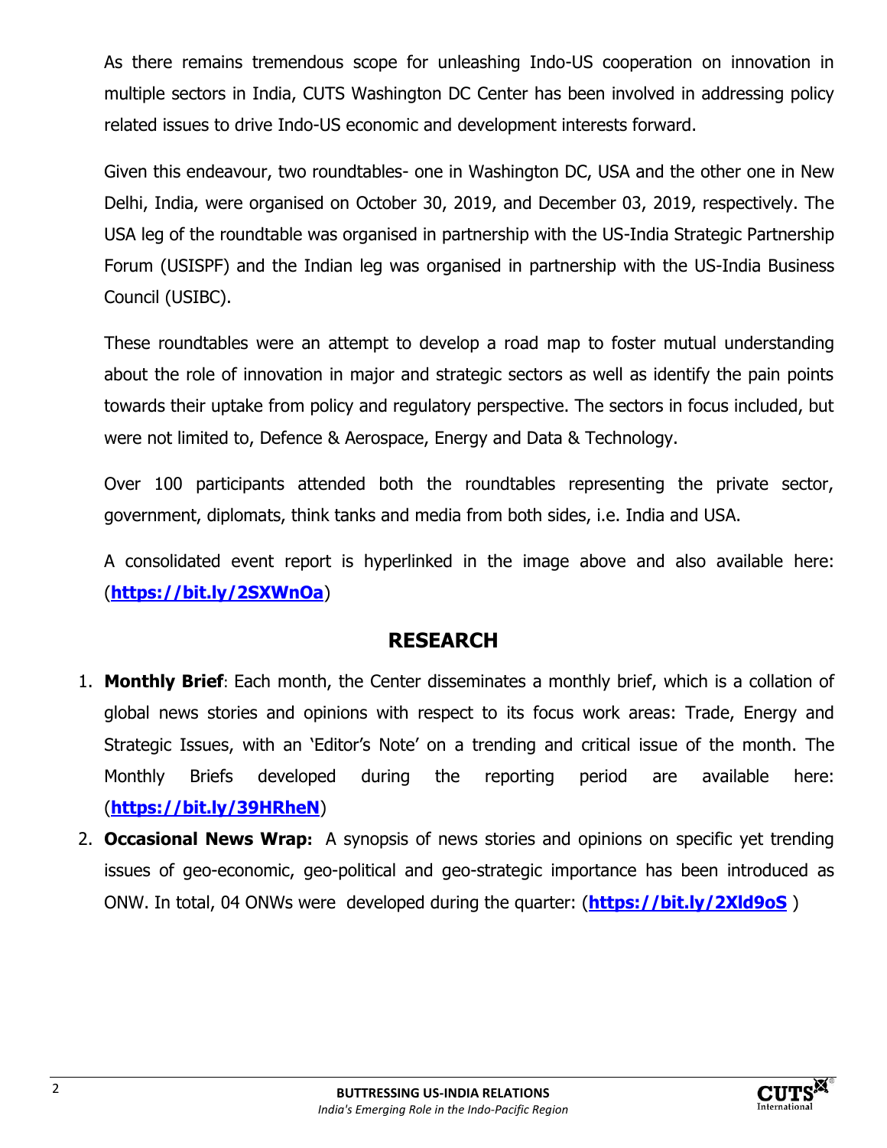As there remains tremendous scope for unleashing Indo-US cooperation on innovation in multiple sectors in India, CUTS Washington DC Center has been involved in addressing policy related issues to drive Indo-US economic and development interests forward.

Given this endeavour, two roundtables- one in Washington DC, USA and the other one in New Delhi, India, were organised on October 30, 2019, and December 03, 2019, respectively. The USA leg of the roundtable was organised in partnership with the US-India Strategic Partnership Forum (USISPF) and the Indian leg was organised in partnership with the US-India Business Council (USIBC).

These roundtables were an attempt to develop a road map to foster mutual understanding about the role of innovation in major and strategic sectors as well as identify the pain points towards their uptake from policy and regulatory perspective. The sectors in focus included, but were not limited to, Defence & Aerospace, Energy and Data & Technology.

Over 100 participants attended both the roundtables representing the private sector, government, diplomats, think tanks and media from both sides, i.e. India and USA.

A consolidated event report is hyperlinked in the image above and also available here: (**<https://bit.ly/2SXWnOa>**)

### **RESEARCH**

- 1. **Monthly Brief**: Each month, the Center disseminates a monthly brief, which is a collation of global news stories and opinions with respect to its focus work areas: Trade, Energy and Strategic Issues, with an 'Editor's Note' on a trending and critical issue of the month. The Monthly Briefs developed during the reporting period are available here: (**<https://bit.ly/39HRheN>**)
- 2. **Occasional News Wrap:** A synopsis of news stories and opinions on specific yet trending issues of geo-economic, geo-political and geo-strategic importance has been introduced as ONW. In total, 04 ONWs were developed during the quarter: (**<https://bit.ly/2Xld9oS>** )

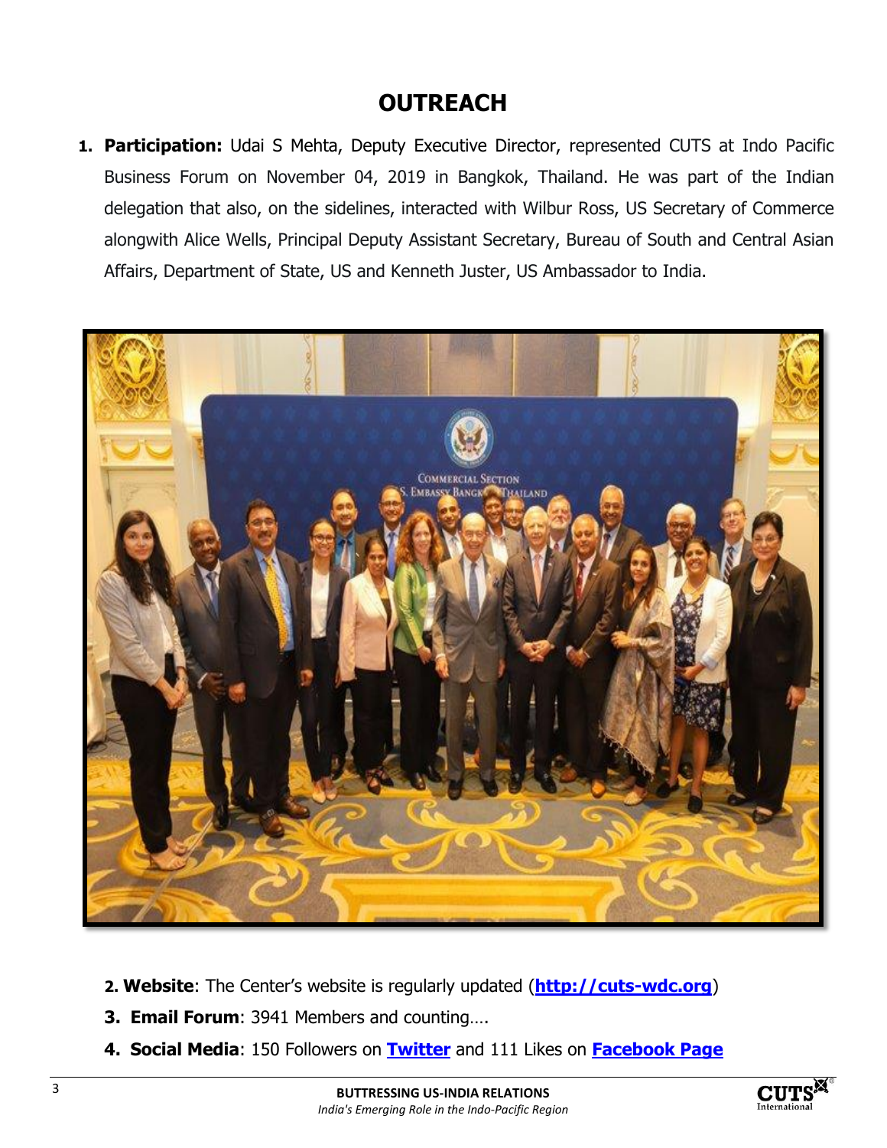## **OUTREACH**

**1. Participation:** Udai S Mehta, Deputy Executive Director, represented CUTS at Indo Pacific Business Forum on November 04, 2019 in Bangkok, Thailand. He was part of the Indian delegation that also, on the sidelines, interacted with Wilbur Ross, US Secretary of Commerce alongwith Alice Wells, Principal Deputy Assistant Secretary, Bureau of South and Central Asian Affairs, Department of State, US and Kenneth Juster, US Ambassador to India.



- **2. Website**: The Center's website is regularly updated (**[http://cuts-wdc.org](http://cuts-wdc.org/)**)
- **3. Email Forum**: 3941 Members and counting….
- **4. Social Media**: 150 Followers on **[Twitter](https://twitter.com/cutswdc)** and 111 Likes on **[Facebook Page](https://www.facebook.com/cutswdc)**